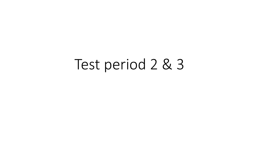# Test period 2 & 3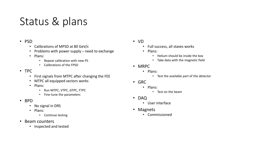## Status & plans

#### • PSD

- Calibrations of MPSD at 80 GeV/c
- Problems with power supply need to exchange
- Plans:
	- Repeat calibration with new PS
	- Calibrations of the FPSD
- TPC
	- First signals from MTPC after changing the FEE
	- MTPC all equipped sectors works
	- Plans:
		- Run MTPC, VTPC, GTPC, FTPC
		- Fine-tune the parameters
- BPD
	- No signal in DRS
	- Plans:
		- Continue testing
- Beam counters
	- Inspected and tested
- VD
	- Full success, all staves works
	- Plans:
		- Helium should be inside the box
		- Take data with the magnetic field
- MRPC
	- Plans:
		- Test the available part of the detector
- GRC
	- Plans:
		- Test on the beam
- DAQ
	- User interface
- Magnets
	- Commissioned